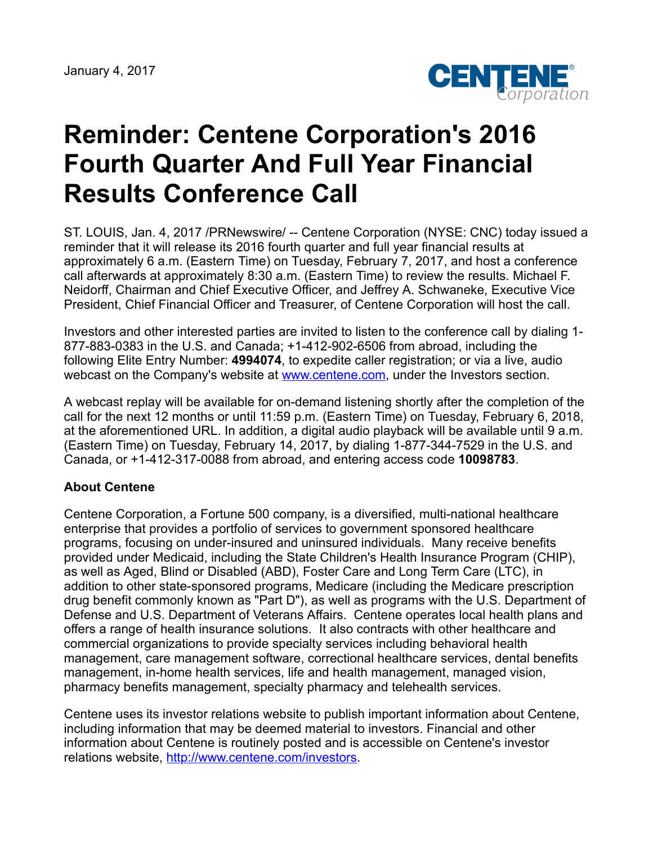

## **Reminder: Centene Corporation's 2016 Fourth Quarter And Full Year Financial Results Conference Call**

ST. LOUIS, Jan. 4, 2017 /PRNewswire/ -- Centene Corporation (NYSE: CNC) today issued a reminder that it will release its 2016 fourth quarter and full year financial results at approximately 6 a.m. (Eastern Time) on Tuesday, February 7, 2017, and host a conference call afterwards at approximately 8:30 a.m. (Eastern Time) to review the results. Michael F. Neidorff, Chairman and Chief Executive Officer, and Jeffrey A. Schwaneke, Executive Vice President, Chief Financial Officer and Treasurer, of Centene Corporation will host the call.

Investors and other interested parties are invited to listen to the conference call by dialing 1- 877-883-0383 in the U.S. and Canada; +1-412-902-6506 from abroad, including the following Elite Entry Number: **4994074**, to expedite caller registration; or via a live, audio webcast on the Company's website at [www.centene.com,](http://www.centene.com/) under the Investors section.

A webcast replay will be available for on-demand listening shortly after the completion of the call for the next 12 months or until 11:59 p.m. (Eastern Time) on Tuesday, February 6, 2018, at the aforementioned URL. In addition, a digital audio playback will be available until 9 a.m. (Eastern Time) on Tuesday, February 14, 2017, by dialing 1-877-344-7529 in the U.S. and Canada, or +1-412-317-0088 from abroad, and entering access code **10098783**.

## **About Centene**

Centene Corporation, a Fortune 500 company, is a diversified, multi-national healthcare enterprise that provides a portfolio of services to government sponsored healthcare programs, focusing on under-insured and uninsured individuals. Many receive benefits provided under Medicaid, including the State Children's Health Insurance Program (CHIP), as well as Aged, Blind or Disabled (ABD), Foster Care and Long Term Care (LTC), in addition to other state-sponsored programs, Medicare (including the Medicare prescription drug benefit commonly known as "Part D"), as well as programs with the U.S. Department of Defense and U.S. Department of Veterans Affairs. Centene operates local health plans and offers a range of health insurance solutions. It also contracts with other healthcare and commercial organizations to provide specialty services including behavioral health management, care management software, correctional healthcare services, dental benefits management, in-home health services, life and health management, managed vision, pharmacy benefits management, specialty pharmacy and telehealth services.

Centene uses its investor relations website to publish important information about Centene, including information that may be deemed material to investors. Financial and other information about Centene is routinely posted and is accessible on Centene's investor relations website, <http://www.centene.com/investors>.